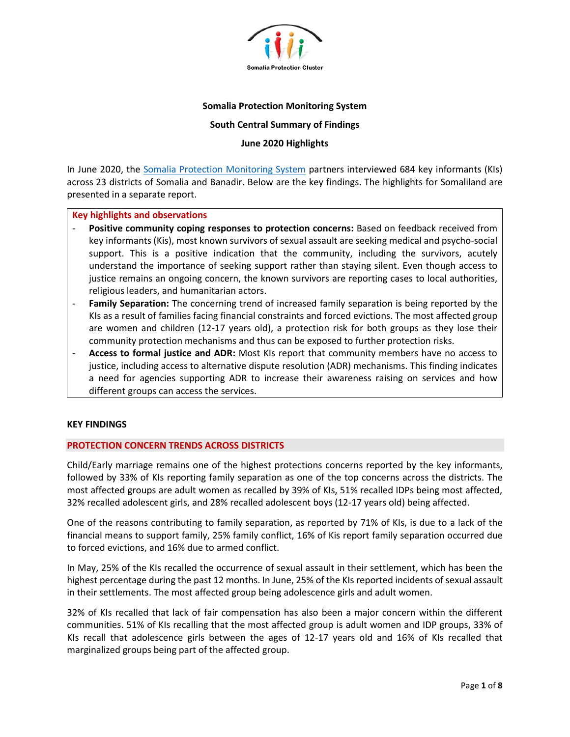

## **Somalia Protection Monitoring System**

## **South Central Summary of Findings**

# **June 2020 Highlights**

In June 2020, the [Somalia Protection Monitoring System](https://www.protection.drchub.org/) partners interviewed 684 key informants (KIs) across 23 districts of Somalia and Banadir. Below are the key findings. The highlights for Somaliland are presented in a separate report.

#### **Key highlights and observations**

- **Positive community coping responses to protection concerns:** Based on feedback received from key informants (Kis), most known survivors of sexual assault are seeking medical and psycho-social support. This is a positive indication that the community, including the survivors, acutely understand the importance of seeking support rather than staying silent. Even though access to justice remains an ongoing concern, the known survivors are reporting cases to local authorities, religious leaders, and humanitarian actors.
- Family Separation: The concerning trend of increased family separation is being reported by the KIs as a result of families facing financial constraints and forced evictions. The most affected group are women and children (12-17 years old), a protection risk for both groups as they lose their community protection mechanisms and thus can be exposed to further protection risks.
- **Access to formal justice and ADR:** Most KIs report that community members have no access to justice, including access to alternative dispute resolution (ADR) mechanisms. This finding indicates a need for agencies supporting ADR to increase their awareness raising on services and how different groups can access the services.

#### **KEY FINDINGS**

#### **PROTECTION CONCERN TRENDS ACROSS DISTRICTS**

Child/Early marriage remains one of the highest protections concerns reported by the key informants, followed by 33% of KIs reporting family separation as one of the top concerns across the districts. The most affected groups are adult women as recalled by 39% of KIs, 51% recalled IDPs being most affected, 32% recalled adolescent girls, and 28% recalled adolescent boys (12-17 years old) being affected.

One of the reasons contributing to family separation, as reported by 71% of KIs, is due to a lack of the financial means to support family, 25% family conflict, 16% of Kis report family separation occurred due to forced evictions, and 16% due to armed conflict.

In May, 25% of the KIs recalled the occurrence of sexual assault in their settlement, which has been the highest percentage during the past 12 months. In June, 25% of the KIs reported incidents of sexual assault in their settlements. The most affected group being adolescence girls and adult women.

32% of KIs recalled that lack of fair compensation has also been a major concern within the different communities. 51% of KIs recalling that the most affected group is adult women and IDP groups, 33% of KIs recall that adolescence girls between the ages of 12-17 years old and 16% of KIs recalled that marginalized groups being part of the affected group.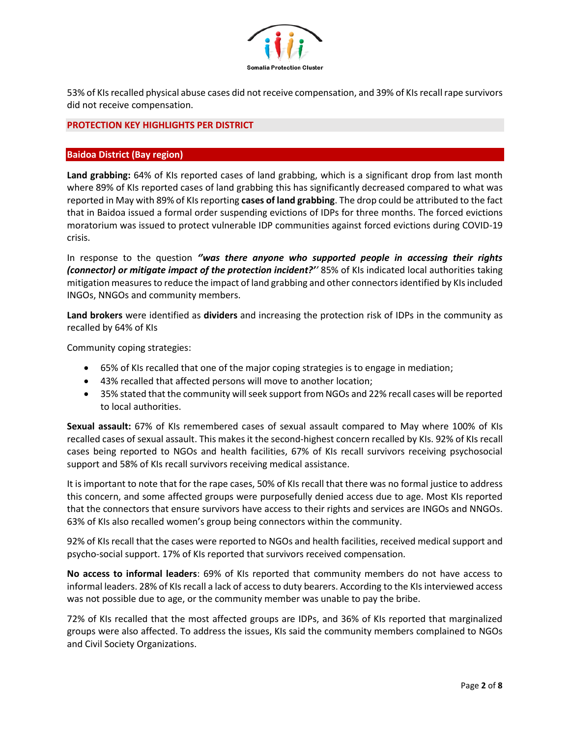

53% of KIs recalled physical abuse cases did not receive compensation, and 39% of KIs recall rape survivors did not receive compensation.

# **PROTECTION KEY HIGHLIGHTS PER DISTRICT**

## **Baidoa District (Bay region)**

**Land grabbing:** 64% of KIs reported cases of land grabbing, which is a significant drop from last month where 89% of KIs reported cases of land grabbing this has significantly decreased compared to what was reported in May with 89% of KIs reporting **cases of land grabbing**. The drop could be attributed to the fact that in Baidoa issued a formal order suspending evictions of IDPs for three months. The forced evictions moratorium was issued to protect vulnerable IDP communities against forced evictions during COVID-19 crisis.

In response to the question *''was there anyone who supported people in accessing their rights (connector) or mitigate impact of the protection incident?''* 85% of KIs indicated local authorities taking mitigation measures to reduce the impact of land grabbing and other connectorsidentified by KIs included INGOs, NNGOs and community members.

**Land brokers** were identified as **dividers** and increasing the protection risk of IDPs in the community as recalled by 64% of KIs

Community coping strategies:

- 65% of KIs recalled that one of the major coping strategies is to engage in mediation;
- 43% recalled that affected persons will move to another location;
- 35% stated that the community will seek support from NGOs and 22% recall cases will be reported to local authorities.

**Sexual assault:** 67% of KIs remembered cases of sexual assault compared to May where 100% of KIs recalled cases of sexual assault. This makes it the second-highest concern recalled by KIs. 92% of KIs recall cases being reported to NGOs and health facilities, 67% of KIs recall survivors receiving psychosocial support and 58% of KIs recall survivors receiving medical assistance.

It is important to note that for the rape cases, 50% of KIs recall that there was no formal justice to address this concern, and some affected groups were purposefully denied access due to age. Most KIs reported that the connectors that ensure survivors have access to their rights and services are INGOs and NNGOs. 63% of KIs also recalled women's group being connectors within the community.

92% of KIs recall that the cases were reported to NGOs and health facilities, received medical support and psycho-social support. 17% of KIs reported that survivors received compensation.

**No access to informal leaders**: 69% of KIs reported that community members do not have access to informal leaders. 28% of KIs recall a lack of access to duty bearers. According to the KIs interviewed access was not possible due to age, or the community member was unable to pay the bribe.

72% of KIs recalled that the most affected groups are IDPs, and 36% of KIs reported that marginalized groups were also affected. To address the issues, KIs said the community members complained to NGOs and Civil Society Organizations.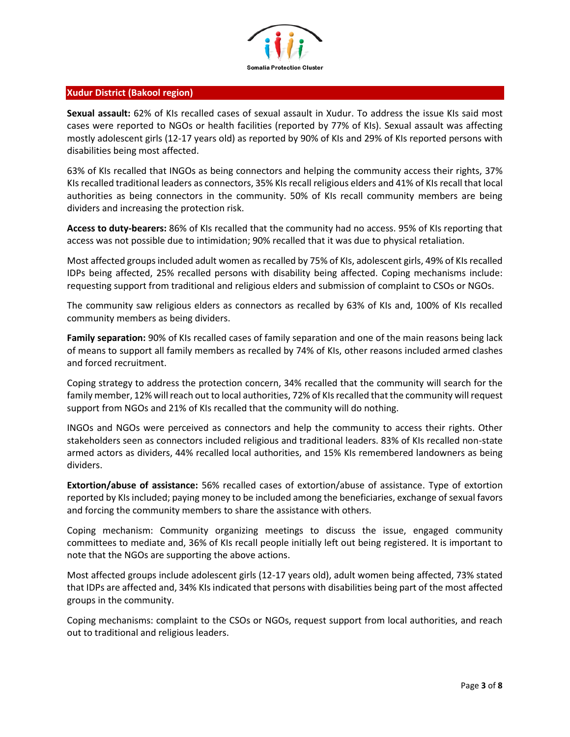

#### **Xudur District (Bakool region)**

**Sexual assault:** 62% of KIs recalled cases of sexual assault in Xudur. To address the issue KIs said most cases were reported to NGOs or health facilities (reported by 77% of KIs). Sexual assault was affecting mostly adolescent girls (12-17 years old) as reported by 90% of KIs and 29% of KIs reported persons with disabilities being most affected.

63% of KIs recalled that INGOs as being connectors and helping the community access their rights, 37% KIs recalled traditional leaders as connectors, 35% KIs recall religious elders and 41% of KIs recall that local authorities as being connectors in the community. 50% of KIs recall community members are being dividers and increasing the protection risk.

**Access to duty-bearers:** 86% of KIs recalled that the community had no access. 95% of KIs reporting that access was not possible due to intimidation; 90% recalled that it was due to physical retaliation.

Most affected groups included adult women as recalled by 75% of KIs, adolescent girls, 49% of KIs recalled IDPs being affected, 25% recalled persons with disability being affected. Coping mechanisms include: requesting support from traditional and religious elders and submission of complaint to CSOs or NGOs.

The community saw religious elders as connectors as recalled by 63% of KIs and, 100% of KIs recalled community members as being dividers.

**Family separation:** 90% of KIs recalled cases of family separation and one of the main reasons being lack of means to support all family members as recalled by 74% of KIs, other reasons included armed clashes and forced recruitment.

Coping strategy to address the protection concern, 34% recalled that the community will search for the family member, 12% will reach out to local authorities, 72% of KIs recalled that the community will request support from NGOs and 21% of KIs recalled that the community will do nothing.

INGOs and NGOs were perceived as connectors and help the community to access their rights. Other stakeholders seen as connectors included religious and traditional leaders. 83% of KIs recalled non-state armed actors as dividers, 44% recalled local authorities, and 15% KIs remembered landowners as being dividers.

**Extortion/abuse of assistance:** 56% recalled cases of extortion/abuse of assistance. Type of extortion reported by KIs included; paying money to be included among the beneficiaries, exchange of sexual favors and forcing the community members to share the assistance with others.

Coping mechanism: Community organizing meetings to discuss the issue, engaged community committees to mediate and, 36% of KIs recall people initially left out being registered. It is important to note that the NGOs are supporting the above actions.

Most affected groups include adolescent girls (12-17 years old), adult women being affected, 73% stated that IDPs are affected and, 34% KIs indicated that persons with disabilities being part of the most affected groups in the community.

Coping mechanisms: complaint to the CSOs or NGOs, request support from local authorities, and reach out to traditional and religious leaders.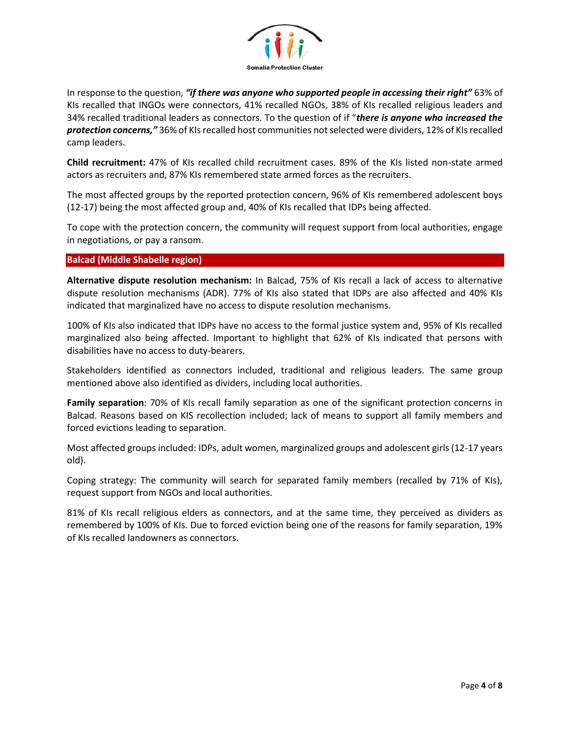

In response to the question, *"if there was anyone who supported people in accessing their right"* 63% of KIs recalled that INGOs were connectors, 41% recalled NGOs, 38% of KIs recalled religious leaders and 34% recalled traditional leaders as connectors. To the question of if "*there is anyone who increased the protection concerns,"* 36% of KIs recalled host communities not selected were dividers, 12% of KIs recalled camp leaders.

**Child recruitment:** 47% of KIs recalled child recruitment cases. 89% of the KIs listed non-state armed actors as recruiters and, 87% KIs remembered state armed forces as the recruiters.

The most affected groups by the reported protection concern, 96% of KIs remembered adolescent boys (12-17) being the most affected group and, 40% of KIs recalled that IDPs being affected.

To cope with the protection concern, the community will request support from local authorities, engage in negotiations, or pay a ransom.

# **Balcad (Middle Shabelle region)**

**Alternative dispute resolution mechanism:** In Balcad, 75% of KIs recall a lack of access to alternative dispute resolution mechanisms (ADR). 77% of KIs also stated that IDPs are also affected and 40% KIs indicated that marginalized have no access to dispute resolution mechanisms.

100% of KIs also indicated that IDPs have no access to the formal justice system and, 95% of KIs recalled marginalized also being affected. Important to highlight that 62% of KIs indicated that persons with disabilities have no access to duty-bearers.

Stakeholders identified as connectors included, traditional and religious leaders. The same group mentioned above also identified as dividers, including local authorities.

**Family separation**: 70% of KIs recall family separation as one of the significant protection concerns in Balcad. Reasons based on KIS recollection included; lack of means to support all family members and forced evictions leading to separation.

Most affected groups included: IDPs, adult women, marginalized groups and adolescent girls (12-17 years old).

Coping strategy: The community will search for separated family members (recalled by 71% of KIs), request support from NGOs and local authorities.

81% of KIs recall religious elders as connectors, and at the same time, they perceived as dividers as remembered by 100% of KIs. Due to forced eviction being one of the reasons for family separation, 19% of KIs recalled landowners as connectors.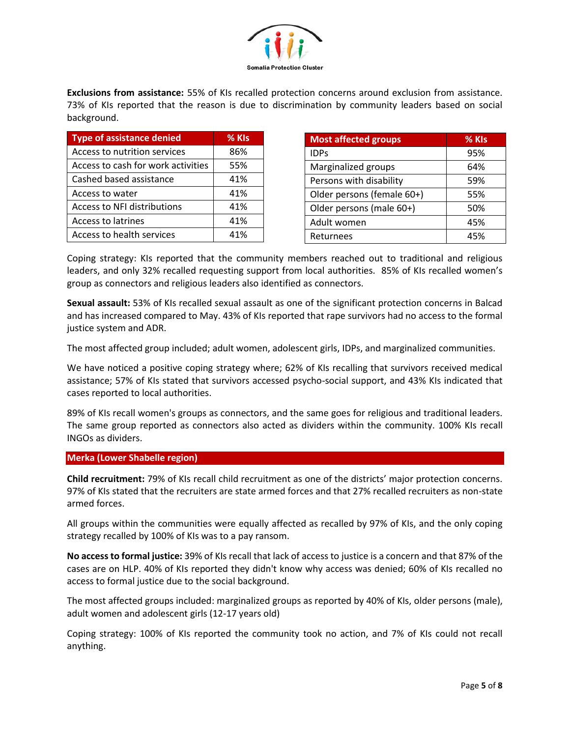

**Exclusions from assistance:** 55% of KIs recalled protection concerns around exclusion from assistance. 73% of KIs reported that the reason is due to discrimination by community leaders based on social background.

| <b>Type of assistance denied</b>   | % KIs |
|------------------------------------|-------|
| Access to nutrition services       | 86%   |
| Access to cash for work activities | 55%   |
| Cashed based assistance            | 41%   |
| Access to water                    | 41%   |
| <b>Access to NFI distributions</b> | 41%   |
| Access to latrines                 | 41%   |
| Access to health services          | 41%   |

| <b>Most affected groups</b> | % KIs |
|-----------------------------|-------|
| <b>IDPs</b>                 | 95%   |
| Marginalized groups         | 64%   |
| Persons with disability     | 59%   |
| Older persons (female 60+)  | 55%   |
| Older persons (male 60+)    | 50%   |
| Adult women                 | 45%   |
| Returnees                   | 45%   |

Coping strategy: KIs reported that the community members reached out to traditional and religious leaders, and only 32% recalled requesting support from local authorities. 85% of KIs recalled women's group as connectors and religious leaders also identified as connectors.

**Sexual assault:** 53% of KIs recalled sexual assault as one of the significant protection concerns in Balcad and has increased compared to May. 43% of KIs reported that rape survivors had no access to the formal justice system and ADR.

The most affected group included; adult women, adolescent girls, IDPs, and marginalized communities.

We have noticed a positive coping strategy where; 62% of KIs recalling that survivors received medical assistance; 57% of KIs stated that survivors accessed psycho-social support, and 43% KIs indicated that cases reported to local authorities.

89% of KIs recall women's groups as connectors, and the same goes for religious and traditional leaders. The same group reported as connectors also acted as dividers within the community. 100% KIs recall INGOs as dividers.

# **Merka (Lower Shabelle region)**

**Child recruitment:** 79% of KIs recall child recruitment as one of the districts' major protection concerns. 97% of KIs stated that the recruiters are state armed forces and that 27% recalled recruiters as non-state armed forces.

All groups within the communities were equally affected as recalled by 97% of KIs, and the only coping strategy recalled by 100% of KIs was to a pay ransom.

**No access to formal justice:** 39% of KIs recall that lack of access to justice is a concern and that 87% of the cases are on HLP. 40% of KIs reported they didn't know why access was denied; 60% of KIs recalled no access to formal justice due to the social background.

The most affected groups included: marginalized groups as reported by 40% of KIs, older persons (male), adult women and adolescent girls (12-17 years old)

Coping strategy: 100% of KIs reported the community took no action, and 7% of KIs could not recall anything.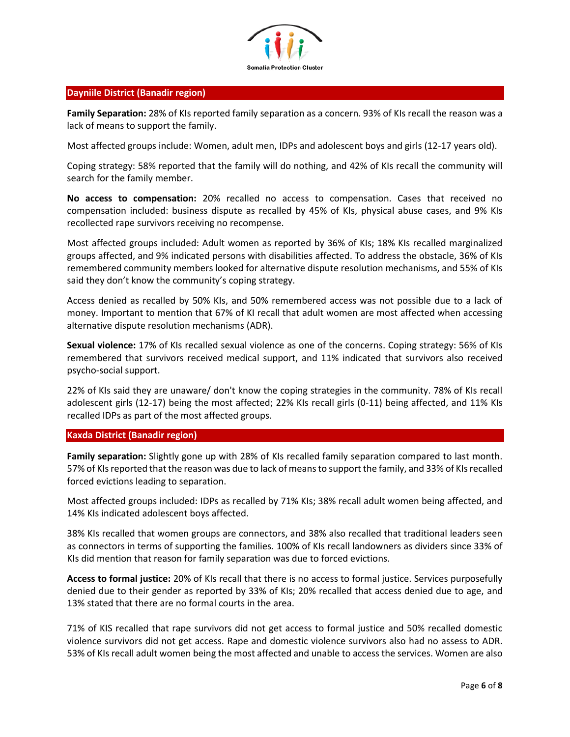

#### **Dayniile District (Banadir region)**

**Family Separation:** 28% of KIs reported family separation as a concern. 93% of KIs recall the reason was a lack of means to support the family.

Most affected groups include: Women, adult men, IDPs and adolescent boys and girls (12-17 years old).

Coping strategy: 58% reported that the family will do nothing, and 42% of KIs recall the community will search for the family member.

**No access to compensation:** 20% recalled no access to compensation. Cases that received no compensation included: business dispute as recalled by 45% of KIs, physical abuse cases, and 9% KIs recollected rape survivors receiving no recompense.

Most affected groups included: Adult women as reported by 36% of KIs; 18% KIs recalled marginalized groups affected, and 9% indicated persons with disabilities affected. To address the obstacle, 36% of KIs remembered community members looked for alternative dispute resolution mechanisms, and 55% of KIs said they don't know the community's coping strategy.

Access denied as recalled by 50% KIs, and 50% remembered access was not possible due to a lack of money. Important to mention that 67% of KI recall that adult women are most affected when accessing alternative dispute resolution mechanisms (ADR).

**Sexual violence:** 17% of KIs recalled sexual violence as one of the concerns. Coping strategy: 56% of KIs remembered that survivors received medical support, and 11% indicated that survivors also received psycho-social support.

22% of KIs said they are unaware/ don't know the coping strategies in the community. 78% of KIs recall adolescent girls (12-17) being the most affected; 22% KIs recall girls (0-11) being affected, and 11% KIs recalled IDPs as part of the most affected groups.

#### **Kaxda District (Banadir region)**

**Family separation:** Slightly gone up with 28% of KIs recalled family separation compared to last month. 57% of KIs reported that the reason was due to lack of means to support the family, and 33% of KIs recalled forced evictions leading to separation.

Most affected groups included: IDPs as recalled by 71% KIs; 38% recall adult women being affected, and 14% KIs indicated adolescent boys affected.

38% KIs recalled that women groups are connectors, and 38% also recalled that traditional leaders seen as connectors in terms of supporting the families. 100% of KIs recall landowners as dividers since 33% of KIs did mention that reason for family separation was due to forced evictions.

**Access to formal justice:** 20% of KIs recall that there is no access to formal justice. Services purposefully denied due to their gender as reported by 33% of KIs; 20% recalled that access denied due to age, and 13% stated that there are no formal courts in the area.

71% of KIS recalled that rape survivors did not get access to formal justice and 50% recalled domestic violence survivors did not get access. Rape and domestic violence survivors also had no assess to ADR. 53% of KIs recall adult women being the most affected and unable to access the services. Women are also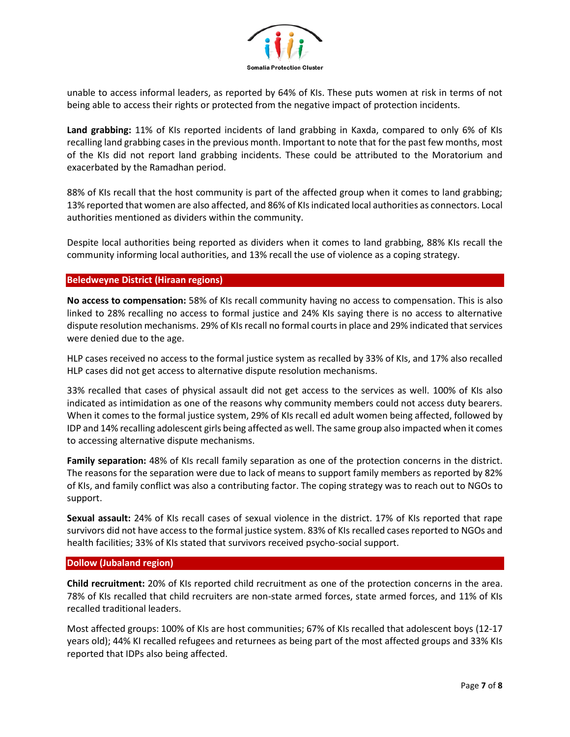

unable to access informal leaders, as reported by 64% of KIs. These puts women at risk in terms of not being able to access their rights or protected from the negative impact of protection incidents.

**Land grabbing:** 11% of KIs reported incidents of land grabbing in Kaxda, compared to only 6% of KIs recalling land grabbing cases in the previous month. Important to note that for the past few months, most of the KIs did not report land grabbing incidents. These could be attributed to the Moratorium and exacerbated by the Ramadhan period.

88% of KIs recall that the host community is part of the affected group when it comes to land grabbing; 13% reported that women are also affected, and 86% of KIs indicated local authorities as connectors. Local authorities mentioned as dividers within the community.

Despite local authorities being reported as dividers when it comes to land grabbing, 88% KIs recall the community informing local authorities, and 13% recall the use of violence as a coping strategy.

# **Beledweyne District (Hiraan regions)**

**No access to compensation:** 58% of KIs recall community having no access to compensation. This is also linked to 28% recalling no access to formal justice and 24% KIs saying there is no access to alternative dispute resolution mechanisms. 29% of KIs recall no formal courts in place and 29% indicated that services were denied due to the age.

HLP cases received no access to the formal justice system as recalled by 33% of KIs, and 17% also recalled HLP cases did not get access to alternative dispute resolution mechanisms.

33% recalled that cases of physical assault did not get access to the services as well. 100% of KIs also indicated as intimidation as one of the reasons why community members could not access duty bearers. When it comes to the formal justice system, 29% of KIs recall ed adult women being affected, followed by IDP and 14% recalling adolescent girls being affected as well. The same group also impacted when it comes to accessing alternative dispute mechanisms.

**Family separation:** 48% of KIs recall family separation as one of the protection concerns in the district. The reasons for the separation were due to lack of means to support family members as reported by 82% of KIs, and family conflict was also a contributing factor. The coping strategy was to reach out to NGOs to support.

**Sexual assault:** 24% of KIs recall cases of sexual violence in the district. 17% of KIs reported that rape survivors did not have access to the formal justice system. 83% of KIs recalled cases reported to NGOs and health facilities; 33% of KIs stated that survivors received psycho-social support.

#### **Dollow (Jubaland region)**

**Child recruitment:** 20% of KIs reported child recruitment as one of the protection concerns in the area. 78% of KIs recalled that child recruiters are non-state armed forces, state armed forces, and 11% of KIs recalled traditional leaders.

Most affected groups: 100% of KIs are host communities; 67% of KIs recalled that adolescent boys (12-17 years old); 44% KI recalled refugees and returnees as being part of the most affected groups and 33% KIs reported that IDPs also being affected.